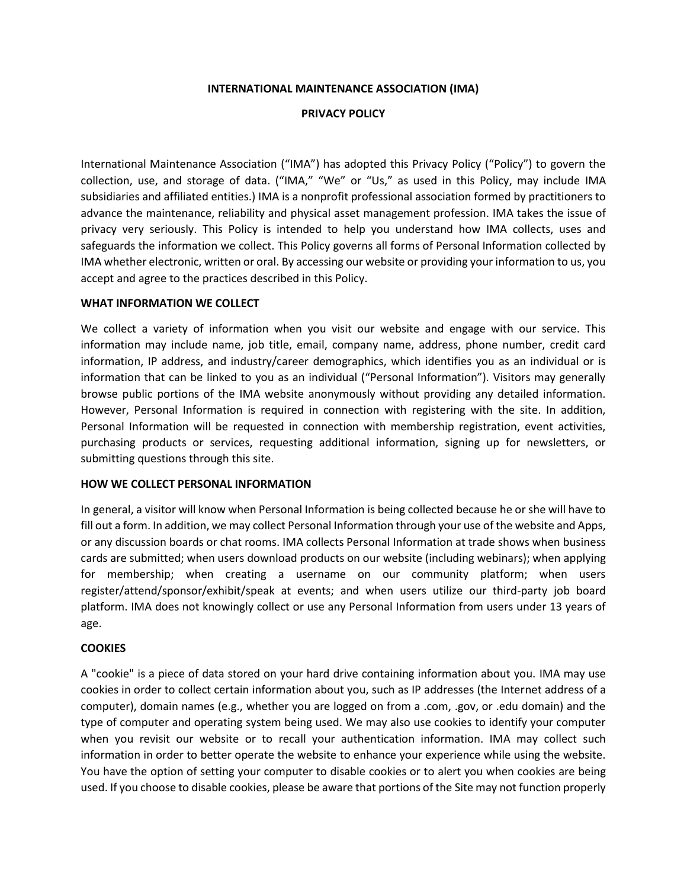#### **INTERNATIONAL MAINTENANCE ASSOCIATION (IMA)**

#### **PRIVACY POLICY**

International Maintenance Association ("IMA") has adopted this Privacy Policy ("Policy") to govern the collection, use, and storage of data. ("IMA," "We" or "Us," as used in this Policy, may include IMA subsidiaries and affiliated entities.) IMA is a nonprofit professional association formed by practitioners to advance the maintenance, reliability and physical asset management profession. IMA takes the issue of privacy very seriously. This Policy is intended to help you understand how IMA collects, uses and safeguards the information we collect. This Policy governs all forms of Personal Information collected by IMA whether electronic, written or oral. By accessing our website or providing your information to us, you accept and agree to the practices described in this Policy.

#### **WHAT INFORMATION WE COLLECT**

We collect a variety of information when you visit our website and engage with our service. This information may include name, job title, email, company name, address, phone number, credit card information, IP address, and industry/career demographics, which identifies you as an individual or is information that can be linked to you as an individual ("Personal Information"). Visitors may generally browse public portions of the IMA website anonymously without providing any detailed information. However, Personal Information is required in connection with registering with the site. In addition, Personal Information will be requested in connection with membership registration, event activities, purchasing products or services, requesting additional information, signing up for newsletters, or submitting questions through this site.

#### **HOW WE COLLECT PERSONAL INFORMATION**

In general, a visitor will know when Personal Information is being collected because he or she will have to fill out a form. In addition, we may collect Personal Information through your use of the website and Apps, or any discussion boards or chat rooms. IMA collects Personal Information at trade shows when business cards are submitted; when users download products on our website (including webinars); when applying for membership; when creating a username on our community platform; when users register/attend/sponsor/exhibit/speak at events; and when users utilize our third-party job board platform. IMA does not knowingly collect or use any Personal Information from users under 13 years of age.

## **COOKIES**

A "cookie" is a piece of data stored on your hard drive containing information about you. IMA may use cookies in order to collect certain information about you, such as IP addresses (the Internet address of a computer), domain names (e.g., whether you are logged on from a .com, .gov, or .edu domain) and the type of computer and operating system being used. We may also use cookies to identify your computer when you revisit our website or to recall your authentication information. IMA may collect such information in order to better operate the website to enhance your experience while using the website. You have the option of setting your computer to disable cookies or to alert you when cookies are being used. If you choose to disable cookies, please be aware that portions of the Site may not function properly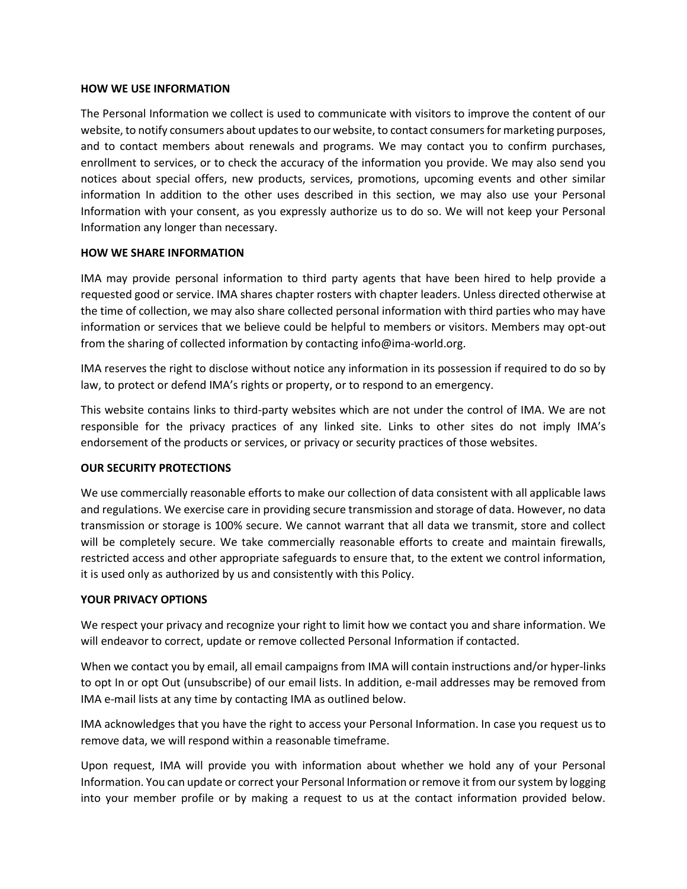#### **HOW WE USE INFORMATION**

The Personal Information we collect is used to communicate with visitors to improve the content of our website, to notify consumers about updates to our website, to contact consumers for marketing purposes, and to contact members about renewals and programs. We may contact you to confirm purchases, enrollment to services, or to check the accuracy of the information you provide. We may also send you notices about special offers, new products, services, promotions, upcoming events and other similar information In addition to the other uses described in this section, we may also use your Personal Information with your consent, as you expressly authorize us to do so. We will not keep your Personal Information any longer than necessary.

## **HOW WE SHARE INFORMATION**

IMA may provide personal information to third party agents that have been hired to help provide a requested good or service. IMA shares chapter rosters with chapter leaders. Unless directed otherwise at the time of collection, we may also share collected personal information with third parties who may have information or services that we believe could be helpful to members or visitors. Members may opt-out from the sharing of collected information by contacting info@ima-world.org.

IMA reserves the right to disclose without notice any information in its possession if required to do so by law, to protect or defend IMA's rights or property, or to respond to an emergency.

This website contains links to third-party websites which are not under the control of IMA. We are not responsible for the privacy practices of any linked site. Links to other sites do not imply IMA's endorsement of the products or services, or privacy or security practices of those websites.

## **OUR SECURITY PROTECTIONS**

We use commercially reasonable efforts to make our collection of data consistent with all applicable laws and regulations. We exercise care in providing secure transmission and storage of data. However, no data transmission or storage is 100% secure. We cannot warrant that all data we transmit, store and collect will be completely secure. We take commercially reasonable efforts to create and maintain firewalls, restricted access and other appropriate safeguards to ensure that, to the extent we control information, it is used only as authorized by us and consistently with this Policy.

## **YOUR PRIVACY OPTIONS**

We respect your privacy and recognize your right to limit how we contact you and share information. We will endeavor to correct, update or remove collected Personal Information if contacted.

When we contact you by email, all email campaigns from IMA will contain instructions and/or hyper-links to opt In or opt Out (unsubscribe) of our email lists. In addition, e-mail addresses may be removed from IMA e-mail lists at any time by contacting IMA as outlined below.

IMA acknowledges that you have the right to access your Personal Information. In case you request us to remove data, we will respond within a reasonable timeframe.

Upon request, IMA will provide you with information about whether we hold any of your Personal Information. You can update or correct your Personal Information or remove it from our system by logging into your member profile or by making a request to us at the contact information provided below.